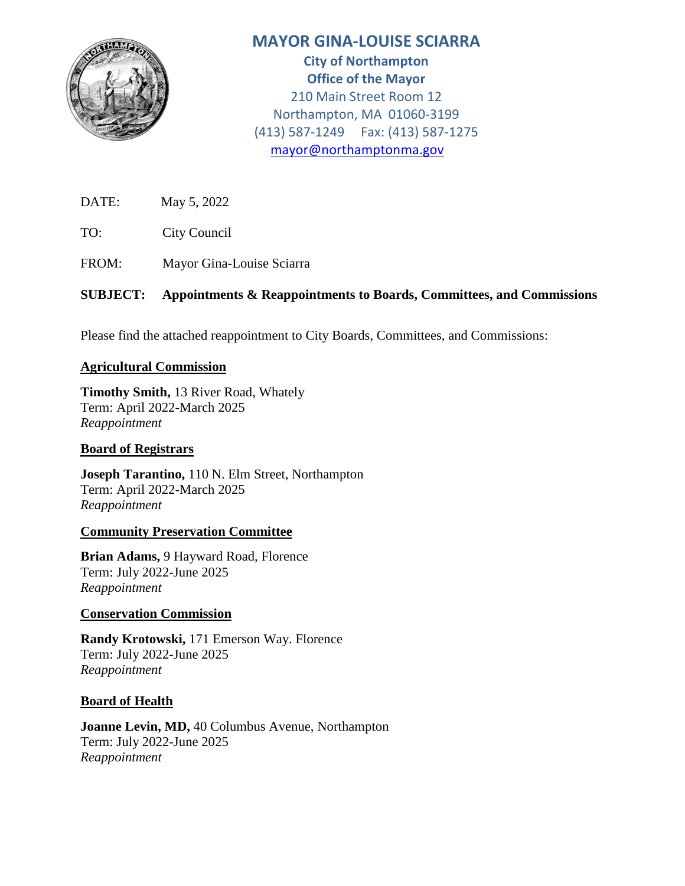

# **MAYOR GINA-LOUISE SCIARRA**

**City of Northampton Office of the Mayor** 210 Main Street Room 12 Northampton, MA 01060-3199 (413) 587-1249 Fax: (413) 587-1275 [mayor@northamptonma.gov](mailto:mayor@northamptonma.gov)

DATE: May 5, 2022

TO: City Council

FROM: Mayor Gina-Louise Sciarra

# **SUBJECT: Appointments & Reappointments to Boards, Committees, and Commissions**

Please find the attached reappointment to City Boards, Committees, and Commissions:

## **Agricultural Commission**

**Timothy Smith,** 13 River Road, Whately Term: April 2022-March 2025 *Reappointment*

### **Board of Registrars**

**Joseph Tarantino,** 110 N. Elm Street, Northampton Term: April 2022-March 2025 *Reappointment*

### **Community Preservation Committee**

**Brian Adams,** 9 Hayward Road, Florence Term: July 2022-June 2025 *Reappointment*

### **Conservation Commission**

**Randy Krotowski,** 171 Emerson Way. Florence Term: July 2022-June 2025 *Reappointment*

### **Board of Health**

**Joanne Levin, MD,** 40 Columbus Avenue, Northampton Term: July 2022-June 2025 *Reappointment*